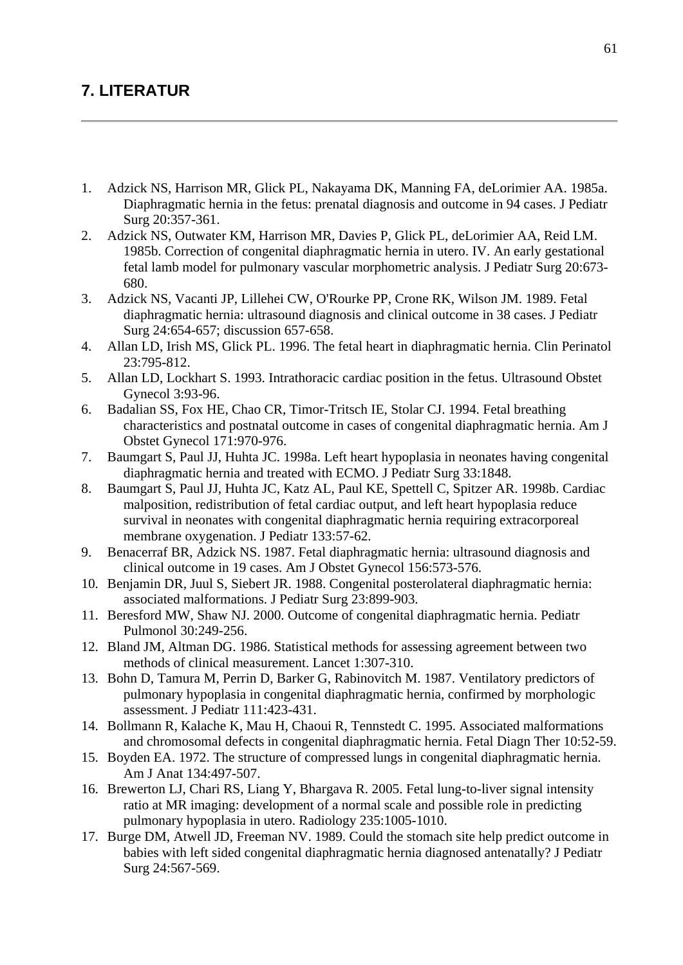## **7. LITERATUR**

- 1. Adzick NS, Harrison MR, Glick PL, Nakayama DK, Manning FA, deLorimier AA. 1985a. Diaphragmatic hernia in the fetus: prenatal diagnosis and outcome in 94 cases. J Pediatr Surg 20:357-361.
- 2. Adzick NS, Outwater KM, Harrison MR, Davies P, Glick PL, deLorimier AA, Reid LM. 1985b. Correction of congenital diaphragmatic hernia in utero. IV. An early gestational fetal lamb model for pulmonary vascular morphometric analysis. J Pediatr Surg 20:673- 680.
- 3. Adzick NS, Vacanti JP, Lillehei CW, O'Rourke PP, Crone RK, Wilson JM. 1989. Fetal diaphragmatic hernia: ultrasound diagnosis and clinical outcome in 38 cases. J Pediatr Surg 24:654-657; discussion 657-658.
- 4. Allan LD, Irish MS, Glick PL. 1996. The fetal heart in diaphragmatic hernia. Clin Perinatol 23:795-812.
- 5. Allan LD, Lockhart S. 1993. Intrathoracic cardiac position in the fetus. Ultrasound Obstet Gynecol 3:93-96.
- 6. Badalian SS, Fox HE, Chao CR, Timor-Tritsch IE, Stolar CJ. 1994. Fetal breathing characteristics and postnatal outcome in cases of congenital diaphragmatic hernia. Am J Obstet Gynecol 171:970-976.
- 7. Baumgart S, Paul JJ, Huhta JC. 1998a. Left heart hypoplasia in neonates having congenital diaphragmatic hernia and treated with ECMO. J Pediatr Surg 33:1848.
- 8. Baumgart S, Paul JJ, Huhta JC, Katz AL, Paul KE, Spettell C, Spitzer AR. 1998b. Cardiac malposition, redistribution of fetal cardiac output, and left heart hypoplasia reduce survival in neonates with congenital diaphragmatic hernia requiring extracorporeal membrane oxygenation. J Pediatr 133:57-62.
- 9. Benacerraf BR, Adzick NS. 1987. Fetal diaphragmatic hernia: ultrasound diagnosis and clinical outcome in 19 cases. Am J Obstet Gynecol 156:573-576.
- 10. Benjamin DR, Juul S, Siebert JR. 1988. Congenital posterolateral diaphragmatic hernia: associated malformations. J Pediatr Surg 23:899-903.
- 11. Beresford MW, Shaw NJ. 2000. Outcome of congenital diaphragmatic hernia. Pediatr Pulmonol 30:249-256.
- 12. Bland JM, Altman DG. 1986. Statistical methods for assessing agreement between two methods of clinical measurement. Lancet 1:307-310.
- 13. Bohn D, Tamura M, Perrin D, Barker G, Rabinovitch M. 1987. Ventilatory predictors of pulmonary hypoplasia in congenital diaphragmatic hernia, confirmed by morphologic assessment. J Pediatr 111:423-431.
- 14. Bollmann R, Kalache K, Mau H, Chaoui R, Tennstedt C. 1995. Associated malformations and chromosomal defects in congenital diaphragmatic hernia. Fetal Diagn Ther 10:52-59.
- 15. Boyden EA. 1972. The structure of compressed lungs in congenital diaphragmatic hernia. Am J Anat 134:497-507.
- 16. Brewerton LJ, Chari RS, Liang Y, Bhargava R. 2005. Fetal lung-to-liver signal intensity ratio at MR imaging: development of a normal scale and possible role in predicting pulmonary hypoplasia in utero. Radiology 235:1005-1010.
- 17. Burge DM, Atwell JD, Freeman NV. 1989. Could the stomach site help predict outcome in babies with left sided congenital diaphragmatic hernia diagnosed antenatally? J Pediatr Surg 24:567-569.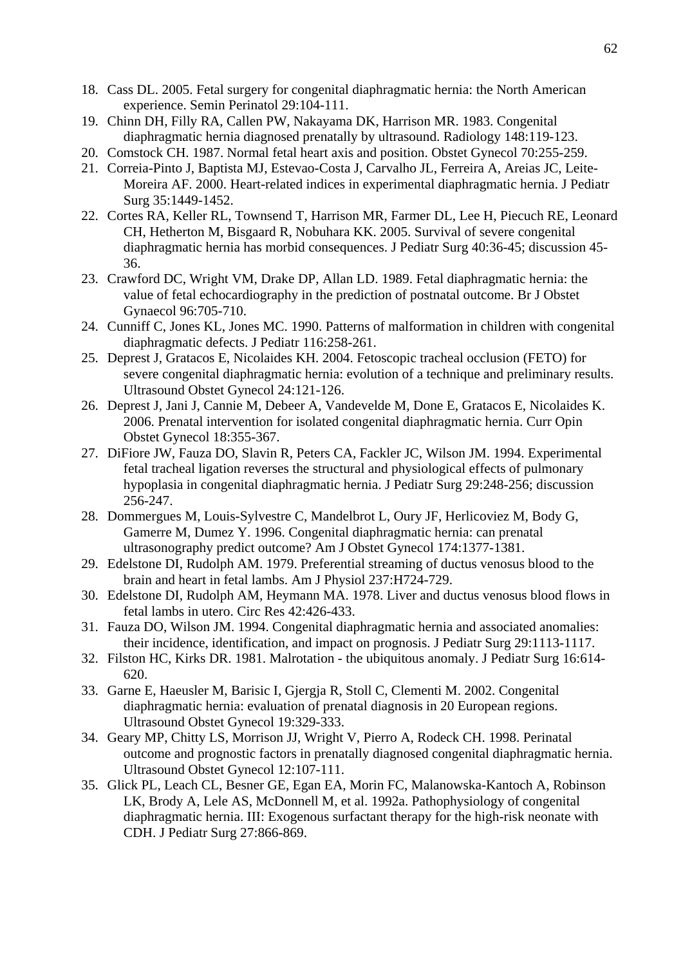- 18. Cass DL. 2005. Fetal surgery for congenital diaphragmatic hernia: the North American experience. Semin Perinatol 29:104-111.
- 19. Chinn DH, Filly RA, Callen PW, Nakayama DK, Harrison MR. 1983. Congenital diaphragmatic hernia diagnosed prenatally by ultrasound. Radiology 148:119-123.
- 20. Comstock CH. 1987. Normal fetal heart axis and position. Obstet Gynecol 70:255-259.
- 21. Correia-Pinto J, Baptista MJ, Estevao-Costa J, Carvalho JL, Ferreira A, Areias JC, Leite-Moreira AF. 2000. Heart-related indices in experimental diaphragmatic hernia. J Pediatr Surg 35:1449-1452.
- 22. Cortes RA, Keller RL, Townsend T, Harrison MR, Farmer DL, Lee H, Piecuch RE, Leonard CH, Hetherton M, Bisgaard R, Nobuhara KK. 2005. Survival of severe congenital diaphragmatic hernia has morbid consequences. J Pediatr Surg 40:36-45; discussion 45- 36.
- 23. Crawford DC, Wright VM, Drake DP, Allan LD. 1989. Fetal diaphragmatic hernia: the value of fetal echocardiography in the prediction of postnatal outcome. Br J Obstet Gynaecol 96:705-710.
- 24. Cunniff C, Jones KL, Jones MC. 1990. Patterns of malformation in children with congenital diaphragmatic defects. J Pediatr 116:258-261.
- 25. Deprest J, Gratacos E, Nicolaides KH. 2004. Fetoscopic tracheal occlusion (FETO) for severe congenital diaphragmatic hernia: evolution of a technique and preliminary results. Ultrasound Obstet Gynecol 24:121-126.
- 26. Deprest J, Jani J, Cannie M, Debeer A, Vandevelde M, Done E, Gratacos E, Nicolaides K. 2006. Prenatal intervention for isolated congenital diaphragmatic hernia. Curr Opin Obstet Gynecol 18:355-367.
- 27. DiFiore JW, Fauza DO, Slavin R, Peters CA, Fackler JC, Wilson JM. 1994. Experimental fetal tracheal ligation reverses the structural and physiological effects of pulmonary hypoplasia in congenital diaphragmatic hernia. J Pediatr Surg 29:248-256; discussion 256-247.
- 28. Dommergues M, Louis-Sylvestre C, Mandelbrot L, Oury JF, Herlicoviez M, Body G, Gamerre M, Dumez Y. 1996. Congenital diaphragmatic hernia: can prenatal ultrasonography predict outcome? Am J Obstet Gynecol 174:1377-1381.
- 29. Edelstone DI, Rudolph AM. 1979. Preferential streaming of ductus venosus blood to the brain and heart in fetal lambs. Am J Physiol 237:H724-729.
- 30. Edelstone DI, Rudolph AM, Heymann MA. 1978. Liver and ductus venosus blood flows in fetal lambs in utero. Circ Res 42:426-433.
- 31. Fauza DO, Wilson JM. 1994. Congenital diaphragmatic hernia and associated anomalies: their incidence, identification, and impact on prognosis. J Pediatr Surg 29:1113-1117.
- 32. Filston HC, Kirks DR. 1981. Malrotation the ubiquitous anomaly. J Pediatr Surg 16:614- 620.
- 33. Garne E, Haeusler M, Barisic I, Gjergja R, Stoll C, Clementi M. 2002. Congenital diaphragmatic hernia: evaluation of prenatal diagnosis in 20 European regions. Ultrasound Obstet Gynecol 19:329-333.
- 34. Geary MP, Chitty LS, Morrison JJ, Wright V, Pierro A, Rodeck CH. 1998. Perinatal outcome and prognostic factors in prenatally diagnosed congenital diaphragmatic hernia. Ultrasound Obstet Gynecol 12:107-111.
- 35. Glick PL, Leach CL, Besner GE, Egan EA, Morin FC, Malanowska-Kantoch A, Robinson LK, Brody A, Lele AS, McDonnell M, et al. 1992a. Pathophysiology of congenital diaphragmatic hernia. III: Exogenous surfactant therapy for the high-risk neonate with CDH. J Pediatr Surg 27:866-869.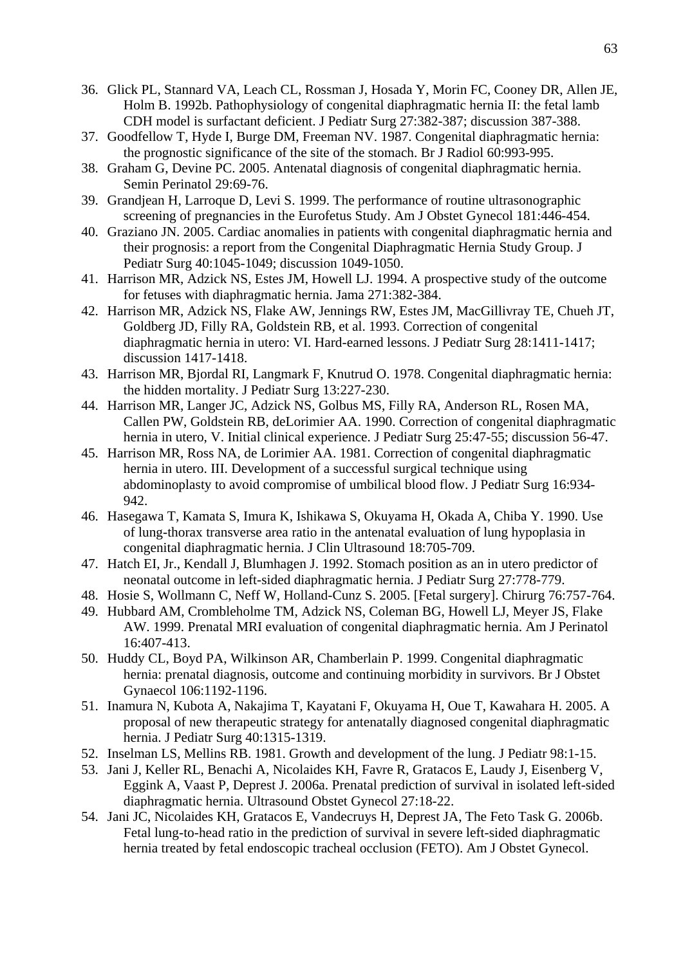- 36. Glick PL, Stannard VA, Leach CL, Rossman J, Hosada Y, Morin FC, Cooney DR, Allen JE, Holm B. 1992b. Pathophysiology of congenital diaphragmatic hernia II: the fetal lamb CDH model is surfactant deficient. J Pediatr Surg 27:382-387; discussion 387-388.
- 37. Goodfellow T, Hyde I, Burge DM, Freeman NV. 1987. Congenital diaphragmatic hernia: the prognostic significance of the site of the stomach. Br J Radiol 60:993-995.
- 38. Graham G, Devine PC. 2005. Antenatal diagnosis of congenital diaphragmatic hernia. Semin Perinatol 29:69-76.
- 39. Grandjean H, Larroque D, Levi S. 1999. The performance of routine ultrasonographic screening of pregnancies in the Eurofetus Study. Am J Obstet Gynecol 181:446-454.
- 40. Graziano JN. 2005. Cardiac anomalies in patients with congenital diaphragmatic hernia and their prognosis: a report from the Congenital Diaphragmatic Hernia Study Group. J Pediatr Surg 40:1045-1049; discussion 1049-1050.
- 41. Harrison MR, Adzick NS, Estes JM, Howell LJ. 1994. A prospective study of the outcome for fetuses with diaphragmatic hernia. Jama 271:382-384.
- 42. Harrison MR, Adzick NS, Flake AW, Jennings RW, Estes JM, MacGillivray TE, Chueh JT, Goldberg JD, Filly RA, Goldstein RB, et al. 1993. Correction of congenital diaphragmatic hernia in utero: VI. Hard-earned lessons. J Pediatr Surg 28:1411-1417; discussion 1417-1418.
- 43. Harrison MR, Bjordal RI, Langmark F, Knutrud O. 1978. Congenital diaphragmatic hernia: the hidden mortality. J Pediatr Surg 13:227-230.
- 44. Harrison MR, Langer JC, Adzick NS, Golbus MS, Filly RA, Anderson RL, Rosen MA, Callen PW, Goldstein RB, deLorimier AA. 1990. Correction of congenital diaphragmatic hernia in utero, V. Initial clinical experience. J Pediatr Surg 25:47-55; discussion 56-47.
- 45. Harrison MR, Ross NA, de Lorimier AA. 1981. Correction of congenital diaphragmatic hernia in utero. III. Development of a successful surgical technique using abdominoplasty to avoid compromise of umbilical blood flow. J Pediatr Surg 16:934- 942.
- 46. Hasegawa T, Kamata S, Imura K, Ishikawa S, Okuyama H, Okada A, Chiba Y. 1990. Use of lung-thorax transverse area ratio in the antenatal evaluation of lung hypoplasia in congenital diaphragmatic hernia. J Clin Ultrasound 18:705-709.
- 47. Hatch EI, Jr., Kendall J, Blumhagen J. 1992. Stomach position as an in utero predictor of neonatal outcome in left-sided diaphragmatic hernia. J Pediatr Surg 27:778-779.
- 48. Hosie S, Wollmann C, Neff W, Holland-Cunz S. 2005. [Fetal surgery]. Chirurg 76:757-764.
- 49. Hubbard AM, Crombleholme TM, Adzick NS, Coleman BG, Howell LJ, Meyer JS, Flake AW. 1999. Prenatal MRI evaluation of congenital diaphragmatic hernia. Am J Perinatol 16:407-413.
- 50. Huddy CL, Boyd PA, Wilkinson AR, Chamberlain P. 1999. Congenital diaphragmatic hernia: prenatal diagnosis, outcome and continuing morbidity in survivors. Br J Obstet Gynaecol 106:1192-1196.
- 51. Inamura N, Kubota A, Nakajima T, Kayatani F, Okuyama H, Oue T, Kawahara H. 2005. A proposal of new therapeutic strategy for antenatally diagnosed congenital diaphragmatic hernia. J Pediatr Surg 40:1315-1319.
- 52. Inselman LS, Mellins RB. 1981. Growth and development of the lung. J Pediatr 98:1-15.
- 53. Jani J, Keller RL, Benachi A, Nicolaides KH, Favre R, Gratacos E, Laudy J, Eisenberg V, Eggink A, Vaast P, Deprest J. 2006a. Prenatal prediction of survival in isolated left-sided diaphragmatic hernia. Ultrasound Obstet Gynecol 27:18-22.
- 54. Jani JC, Nicolaides KH, Gratacos E, Vandecruys H, Deprest JA, The Feto Task G. 2006b. Fetal lung-to-head ratio in the prediction of survival in severe left-sided diaphragmatic hernia treated by fetal endoscopic tracheal occlusion (FETO). Am J Obstet Gynecol.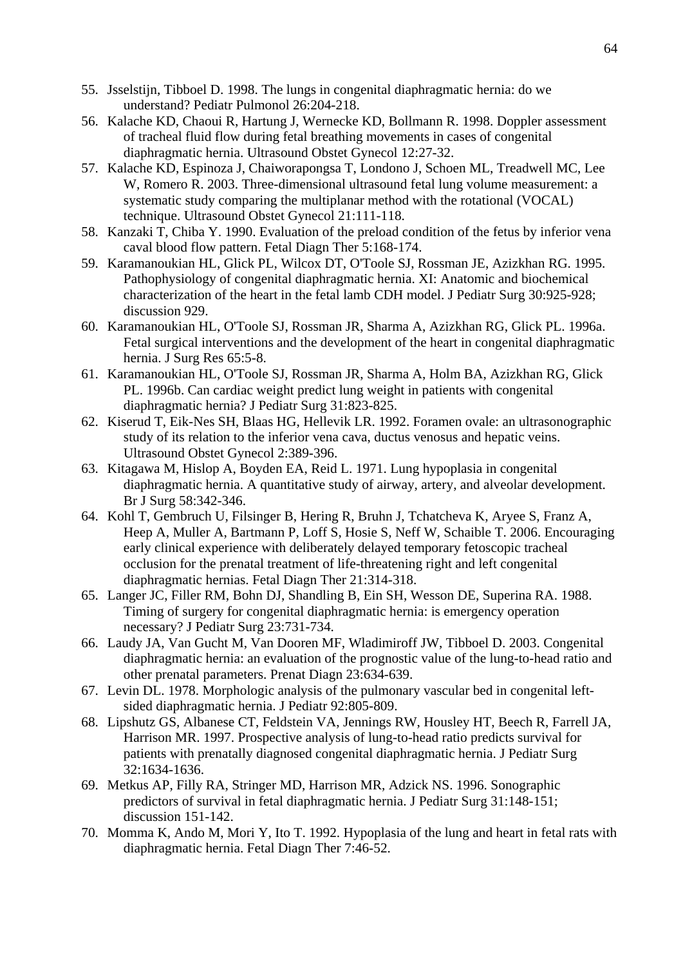- 55. Jsselstijn, Tibboel D. 1998. The lungs in congenital diaphragmatic hernia: do we understand? Pediatr Pulmonol 26:204-218.
- 56. Kalache KD, Chaoui R, Hartung J, Wernecke KD, Bollmann R. 1998. Doppler assessment of tracheal fluid flow during fetal breathing movements in cases of congenital diaphragmatic hernia. Ultrasound Obstet Gynecol 12:27-32.
- 57. Kalache KD, Espinoza J, Chaiworapongsa T, Londono J, Schoen ML, Treadwell MC, Lee W, Romero R. 2003. Three-dimensional ultrasound fetal lung volume measurement: a systematic study comparing the multiplanar method with the rotational (VOCAL) technique. Ultrasound Obstet Gynecol 21:111-118.
- 58. Kanzaki T, Chiba Y. 1990. Evaluation of the preload condition of the fetus by inferior vena caval blood flow pattern. Fetal Diagn Ther 5:168-174.
- 59. Karamanoukian HL, Glick PL, Wilcox DT, O'Toole SJ, Rossman JE, Azizkhan RG. 1995. Pathophysiology of congenital diaphragmatic hernia. XI: Anatomic and biochemical characterization of the heart in the fetal lamb CDH model. J Pediatr Surg 30:925-928; discussion 929.
- 60. Karamanoukian HL, O'Toole SJ, Rossman JR, Sharma A, Azizkhan RG, Glick PL. 1996a. Fetal surgical interventions and the development of the heart in congenital diaphragmatic hernia. J Surg Res 65:5-8.
- 61. Karamanoukian HL, O'Toole SJ, Rossman JR, Sharma A, Holm BA, Azizkhan RG, Glick PL. 1996b. Can cardiac weight predict lung weight in patients with congenital diaphragmatic hernia? J Pediatr Surg 31:823-825.
- 62. Kiserud T, Eik-Nes SH, Blaas HG, Hellevik LR. 1992. Foramen ovale: an ultrasonographic study of its relation to the inferior vena cava, ductus venosus and hepatic veins. Ultrasound Obstet Gynecol 2:389-396.
- 63. Kitagawa M, Hislop A, Boyden EA, Reid L. 1971. Lung hypoplasia in congenital diaphragmatic hernia. A quantitative study of airway, artery, and alveolar development. Br J Surg 58:342-346.
- 64. Kohl T, Gembruch U, Filsinger B, Hering R, Bruhn J, Tchatcheva K, Aryee S, Franz A, Heep A, Muller A, Bartmann P, Loff S, Hosie S, Neff W, Schaible T. 2006. Encouraging early clinical experience with deliberately delayed temporary fetoscopic tracheal occlusion for the prenatal treatment of life-threatening right and left congenital diaphragmatic hernias. Fetal Diagn Ther 21:314-318.
- 65. Langer JC, Filler RM, Bohn DJ, Shandling B, Ein SH, Wesson DE, Superina RA. 1988. Timing of surgery for congenital diaphragmatic hernia: is emergency operation necessary? J Pediatr Surg 23:731-734.
- 66. Laudy JA, Van Gucht M, Van Dooren MF, Wladimiroff JW, Tibboel D. 2003. Congenital diaphragmatic hernia: an evaluation of the prognostic value of the lung-to-head ratio and other prenatal parameters. Prenat Diagn 23:634-639.
- 67. Levin DL. 1978. Morphologic analysis of the pulmonary vascular bed in congenital leftsided diaphragmatic hernia. J Pediatr 92:805-809.
- 68. Lipshutz GS, Albanese CT, Feldstein VA, Jennings RW, Housley HT, Beech R, Farrell JA, Harrison MR. 1997. Prospective analysis of lung-to-head ratio predicts survival for patients with prenatally diagnosed congenital diaphragmatic hernia. J Pediatr Surg 32:1634-1636.
- 69. Metkus AP, Filly RA, Stringer MD, Harrison MR, Adzick NS. 1996. Sonographic predictors of survival in fetal diaphragmatic hernia. J Pediatr Surg 31:148-151; discussion 151-142.
- 70. Momma K, Ando M, Mori Y, Ito T. 1992. Hypoplasia of the lung and heart in fetal rats with diaphragmatic hernia. Fetal Diagn Ther 7:46-52.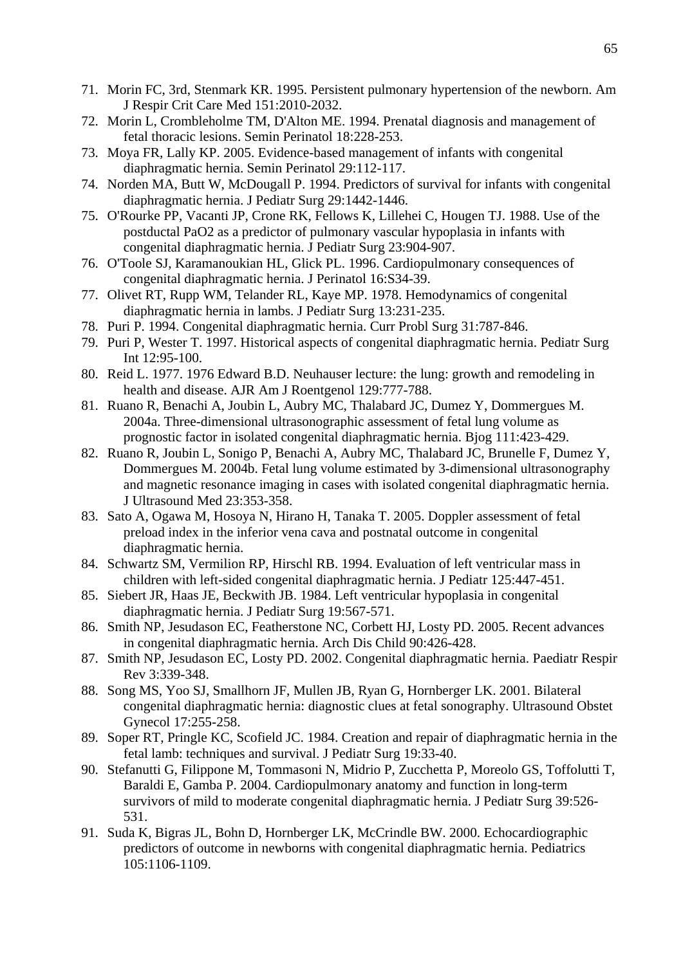- 71. Morin FC, 3rd, Stenmark KR. 1995. Persistent pulmonary hypertension of the newborn. Am J Respir Crit Care Med 151:2010-2032.
- 72. Morin L, Crombleholme TM, D'Alton ME. 1994. Prenatal diagnosis and management of fetal thoracic lesions. Semin Perinatol 18:228-253.
- 73. Moya FR, Lally KP. 2005. Evidence-based management of infants with congenital diaphragmatic hernia. Semin Perinatol 29:112-117.
- 74. Norden MA, Butt W, McDougall P. 1994. Predictors of survival for infants with congenital diaphragmatic hernia. J Pediatr Surg 29:1442-1446.
- 75. O'Rourke PP, Vacanti JP, Crone RK, Fellows K, Lillehei C, Hougen TJ. 1988. Use of the postductal PaO2 as a predictor of pulmonary vascular hypoplasia in infants with congenital diaphragmatic hernia. J Pediatr Surg 23:904-907.
- 76. O'Toole SJ, Karamanoukian HL, Glick PL. 1996. Cardiopulmonary consequences of congenital diaphragmatic hernia. J Perinatol 16:S34-39.
- 77. Olivet RT, Rupp WM, Telander RL, Kaye MP. 1978. Hemodynamics of congenital diaphragmatic hernia in lambs. J Pediatr Surg 13:231-235.
- 78. Puri P. 1994. Congenital diaphragmatic hernia. Curr Probl Surg 31:787-846.
- 79. Puri P, Wester T. 1997. Historical aspects of congenital diaphragmatic hernia. Pediatr Surg Int 12:95-100.
- 80. Reid L. 1977. 1976 Edward B.D. Neuhauser lecture: the lung: growth and remodeling in health and disease. AJR Am J Roentgenol 129:777-788.
- 81. Ruano R, Benachi A, Joubin L, Aubry MC, Thalabard JC, Dumez Y, Dommergues M. 2004a. Three-dimensional ultrasonographic assessment of fetal lung volume as prognostic factor in isolated congenital diaphragmatic hernia. Bjog 111:423-429.
- 82. Ruano R, Joubin L, Sonigo P, Benachi A, Aubry MC, Thalabard JC, Brunelle F, Dumez Y, Dommergues M. 2004b. Fetal lung volume estimated by 3-dimensional ultrasonography and magnetic resonance imaging in cases with isolated congenital diaphragmatic hernia. J Ultrasound Med 23:353-358.
- 83. Sato A, Ogawa M, Hosoya N, Hirano H, Tanaka T. 2005. Doppler assessment of fetal preload index in the inferior vena cava and postnatal outcome in congenital diaphragmatic hernia.
- 84. Schwartz SM, Vermilion RP, Hirschl RB. 1994. Evaluation of left ventricular mass in children with left-sided congenital diaphragmatic hernia. J Pediatr 125:447-451.
- 85. Siebert JR, Haas JE, Beckwith JB. 1984. Left ventricular hypoplasia in congenital diaphragmatic hernia. J Pediatr Surg 19:567-571.
- 86. Smith NP, Jesudason EC, Featherstone NC, Corbett HJ, Losty PD. 2005. Recent advances in congenital diaphragmatic hernia. Arch Dis Child 90:426-428.
- 87. Smith NP, Jesudason EC, Losty PD. 2002. Congenital diaphragmatic hernia. Paediatr Respir Rev 3:339-348.
- 88. Song MS, Yoo SJ, Smallhorn JF, Mullen JB, Ryan G, Hornberger LK. 2001. Bilateral congenital diaphragmatic hernia: diagnostic clues at fetal sonography. Ultrasound Obstet Gynecol 17:255-258.
- 89. Soper RT, Pringle KC, Scofield JC. 1984. Creation and repair of diaphragmatic hernia in the fetal lamb: techniques and survival. J Pediatr Surg 19:33-40.
- 90. Stefanutti G, Filippone M, Tommasoni N, Midrio P, Zucchetta P, Moreolo GS, Toffolutti T, Baraldi E, Gamba P. 2004. Cardiopulmonary anatomy and function in long-term survivors of mild to moderate congenital diaphragmatic hernia. J Pediatr Surg 39:526- 531.
- 91. Suda K, Bigras JL, Bohn D, Hornberger LK, McCrindle BW. 2000. Echocardiographic predictors of outcome in newborns with congenital diaphragmatic hernia. Pediatrics 105:1106-1109.